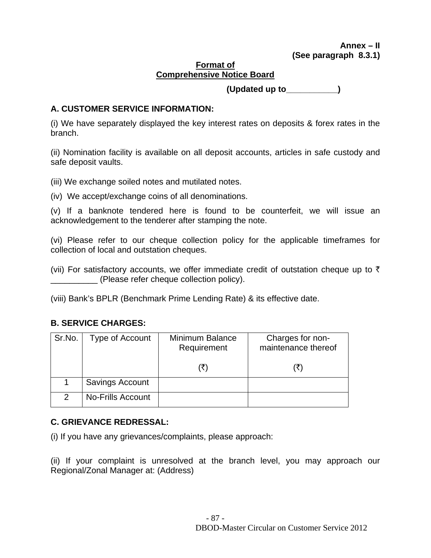#### **Format of Comprehensive Notice Board**

 **(Updated up to\_\_\_\_\_\_\_\_\_\_\_)** 

# **A. CUSTOMER SERVICE INFORMATION:**

(i) We have separately displayed the key interest rates on deposits & forex rates in the branch.

(ii) Nomination facility is available on all deposit accounts, articles in safe custody and safe deposit vaults.

(iii) We exchange soiled notes and mutilated notes.

(iv) We accept/exchange coins of all denominations.

(v) If a banknote tendered here is found to be counterfeit, we will issue an acknowledgement to the tenderer after stamping the note.

(vi) Please refer to our cheque collection policy for the applicable timeframes for collection of local and outstation cheques.

(vii) For satisfactory accounts, we offer immediate credit of outstation cheque up to  $\bar{\tau}$ \_\_\_\_\_\_\_\_\_\_ (Please refer cheque collection policy).

(viii) Bank's BPLR (Benchmark Prime Lending Rate) & its effective date.

# **B. SERVICE CHARGES:**

| Sr.No.        | Type of Account          | Minimum Balance<br>Requirement | Charges for non-<br>maintenance thereof |
|---------------|--------------------------|--------------------------------|-----------------------------------------|
|               |                          |                                |                                         |
|               | Savings Account          |                                |                                         |
| $\mathcal{P}$ | <b>No-Frills Account</b> |                                |                                         |

# **C. GRIEVANCE REDRESSAL:**

(i) If you have any grievances/complaints, please approach:

(ii) If your complaint is unresolved at the branch level, you may approach our Regional/Zonal Manager at: (Address)